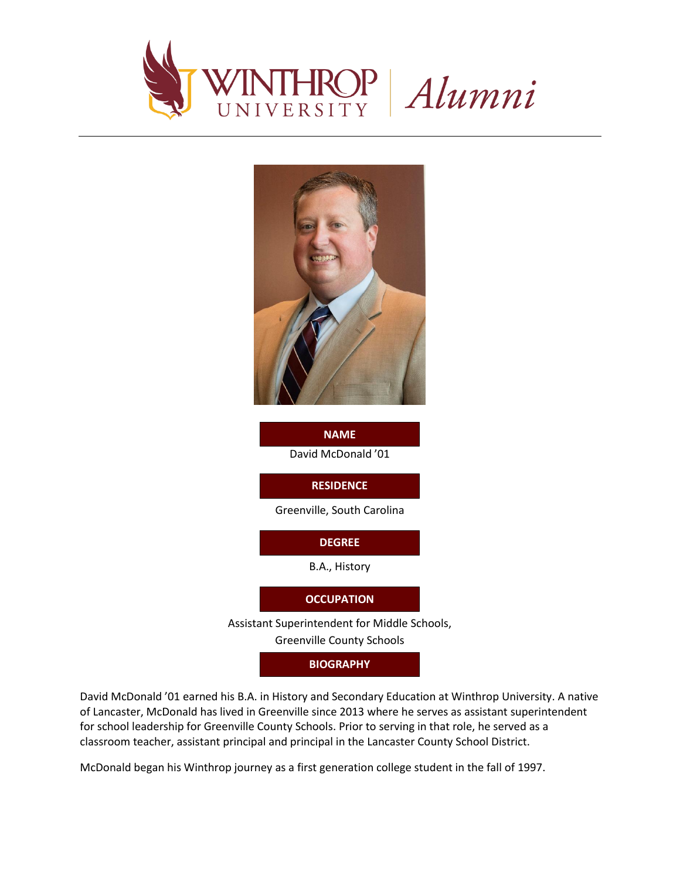



David McDonald '01 **NAME**

**RESIDENCE**

Greenville, South Carolina

**DEGREE**

B.A., History

**OCCUPATION**

Assistant Superintendent for Middle Schools,

Greenville County Schools

**BIOGRAPHY**

David McDonald '01 earned his B.A. in History and Secondary Education at Winthrop University. A native of Lancaster, McDonald has lived in Greenville since 2013 where he serves as assistant superintendent for school leadership for Greenville County Schools. Prior to serving in that role, he served as a classroom teacher, assistant principal and principal in the Lancaster County School District.

McDonald began his Winthrop journey as a first generation college student in the fall of 1997.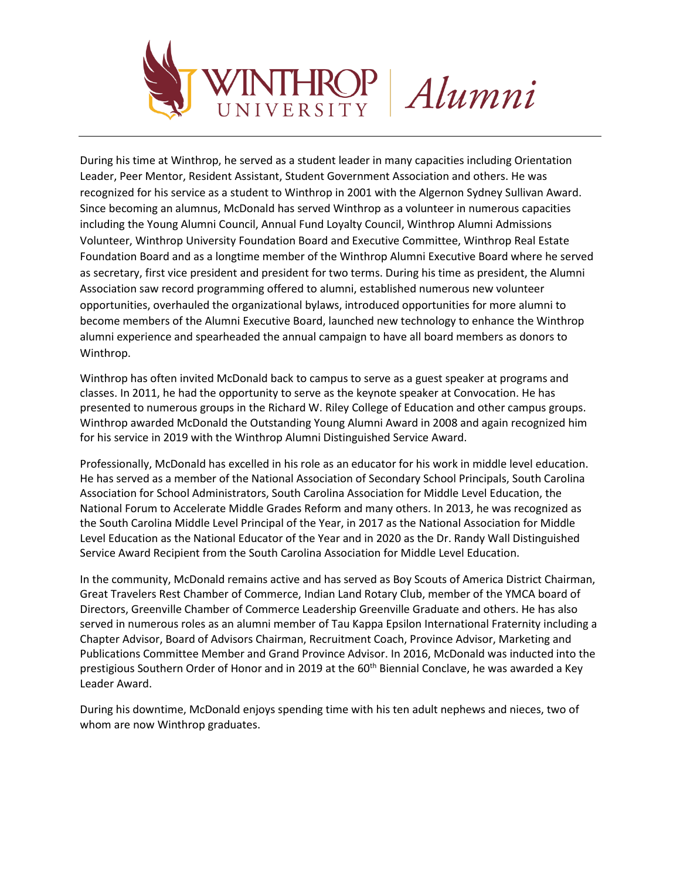

Alumni

During his time at Winthrop, he served as a student leader in many capacities including Orientation Leader, Peer Mentor, Resident Assistant, Student Government Association and others. He was recognized for his service as a student to Winthrop in 2001 with the Algernon Sydney Sullivan Award. Since becoming an alumnus, McDonald has served Winthrop as a volunteer in numerous capacities including the Young Alumni Council, Annual Fund Loyalty Council, Winthrop Alumni Admissions Volunteer, Winthrop University Foundation Board and Executive Committee, Winthrop Real Estate Foundation Board and as a longtime member of the Winthrop Alumni Executive Board where he served as secretary, first vice president and president for two terms. During his time as president, the Alumni Association saw record programming offered to alumni, established numerous new volunteer opportunities, overhauled the organizational bylaws, introduced opportunities for more alumni to become members of the Alumni Executive Board, launched new technology to enhance the Winthrop alumni experience and spearheaded the annual campaign to have all board members as donors to Winthrop.

Winthrop has often invited McDonald back to campus to serve as a guest speaker at programs and classes. In 2011, he had the opportunity to serve as the keynote speaker at Convocation. He has presented to numerous groups in the Richard W. Riley College of Education and other campus groups. Winthrop awarded McDonald the Outstanding Young Alumni Award in 2008 and again recognized him for his service in 2019 with the Winthrop Alumni Distinguished Service Award.

Professionally, McDonald has excelled in his role as an educator for his work in middle level education. He has served as a member of the National Association of Secondary School Principals, South Carolina Association for School Administrators, South Carolina Association for Middle Level Education, the National Forum to Accelerate Middle Grades Reform and many others. In 2013, he was recognized as the South Carolina Middle Level Principal of the Year, in 2017 as the National Association for Middle Level Education as the National Educator of the Year and in 2020 as the Dr. Randy Wall Distinguished Service Award Recipient from the South Carolina Association for Middle Level Education.

In the community, McDonald remains active and has served as Boy Scouts of America District Chairman, Great Travelers Rest Chamber of Commerce, Indian Land Rotary Club, member of the YMCA board of Directors, Greenville Chamber of Commerce Leadership Greenville Graduate and others. He has also served in numerous roles as an alumni member of Tau Kappa Epsilon International Fraternity including a Chapter Advisor, Board of Advisors Chairman, Recruitment Coach, Province Advisor, Marketing and Publications Committee Member and Grand Province Advisor. In 2016, McDonald was inducted into the prestigious Southern Order of Honor and in 2019 at the 60<sup>th</sup> Biennial Conclave, he was awarded a Key Leader Award.

During his downtime, McDonald enjoys spending time with his ten adult nephews and nieces, two of whom are now Winthrop graduates.